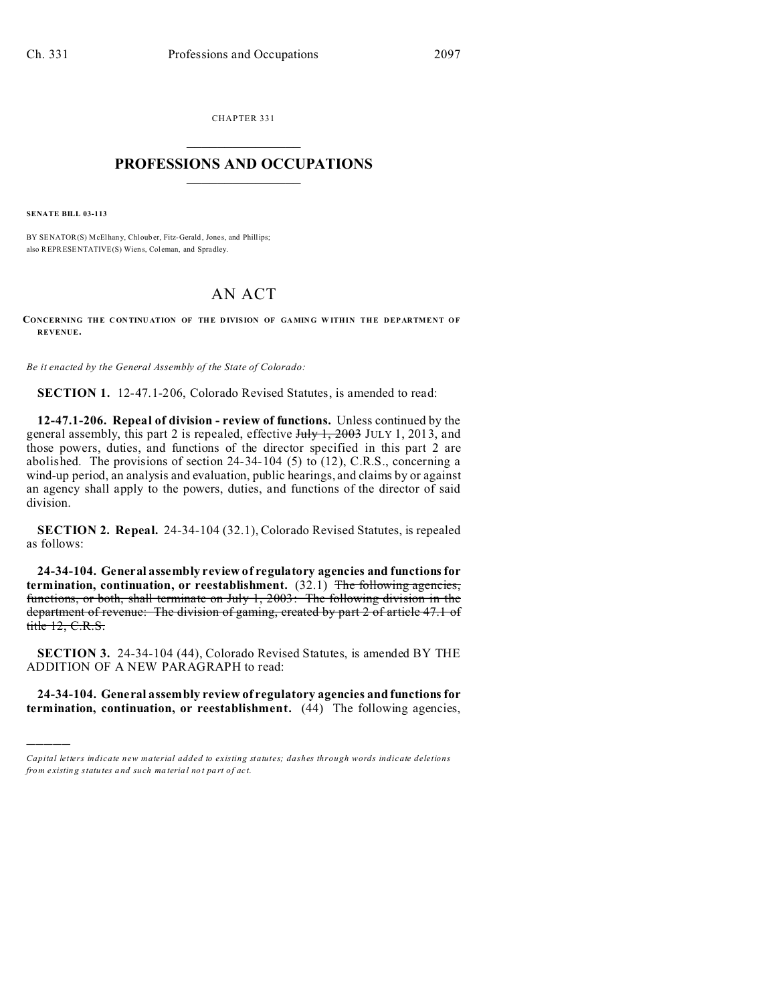CHAPTER 331  $\overline{\phantom{a}}$  , where  $\overline{\phantom{a}}$ 

## **PROFESSIONS AND OCCUPATIONS**  $\frac{1}{2}$  ,  $\frac{1}{2}$  ,  $\frac{1}{2}$  ,  $\frac{1}{2}$  ,  $\frac{1}{2}$  ,  $\frac{1}{2}$  ,  $\frac{1}{2}$

**SENATE BILL 03-113**

)))))

BY SENATOR(S) McElhany, Chlouber, Fitz-Gerald, Jones, and Phillips; also REPRESENTATIVE(S) Wiens, Coleman, and Spradley.

## AN ACT

**CONCERNING THE CON TINU ATION OF THE D IVISION OF GA MING W ITHIN THE DEPARTMENT OF REVENUE.**

*Be it enacted by the General Assembly of the State of Colorado:*

**SECTION 1.** 12-47.1-206, Colorado Revised Statutes, is amended to read:

**12-47.1-206. Repeal of division - review of functions.** Unless continued by the general assembly, this part 2 is repealed, effective July 1, 2003 JULY 1, 2013, and those powers, duties, and functions of the director specified in this part 2 are abolished. The provisions of section  $24-34-104$  (5) to (12), C.R.S., concerning a wind-up period, an analysis and evaluation, public hearings, and claims by or against an agency shall apply to the powers, duties, and functions of the director of said division.

**SECTION 2. Repeal.** 24-34-104 (32.1), Colorado Revised Statutes, is repealed as follows:

**24-34-104. General assembly review of regulatory agencies and functions for termination, continuation, or reestablishment.** (32.1) The following agencies, functions, or both, shall terminate on July 1, 2003: The following division in the department of revenue: The division of gaming, created by part 2 of article 47.1 of title 12, C.R.S.

**SECTION 3.** 24-34-104 (44), Colorado Revised Statutes, is amended BY THE ADDITION OF A NEW PARAGRAPH to read:

**24-34-104. General assembly review of regulatory agencies and functions for termination, continuation, or reestablishment.** (44) The following agencies,

*Capital letters indicate new material added to existing statutes; dashes through words indicate deletions from e xistin g statu tes a nd such ma teria l no t pa rt of ac t.*